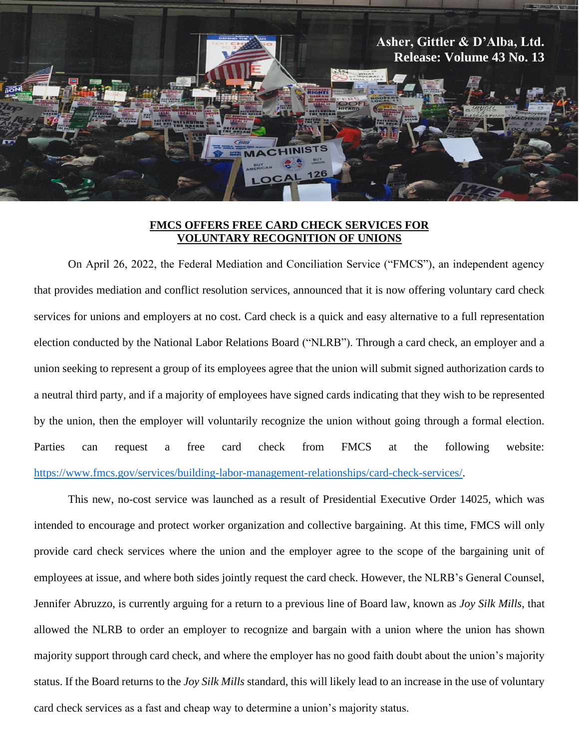

## **FMCS OFFERS FREE CARD CHECK SERVICES FOR VOLUNTARY RECOGNITION OF UNIONS**

On April 26, 2022, the Federal Mediation and Conciliation Service ("FMCS"), an independent agency that provides mediation and conflict resolution services, announced that it is now offering voluntary card check services for unions and employers at no cost. Card check is a quick and easy alternative to a full representation election conducted by the National Labor Relations Board ("NLRB"). Through a card check, an employer and a union seeking to represent a group of its employees agree that the union will submit signed authorization cards to a neutral third party, and if a majority of employees have signed cards indicating that they wish to be represented by the union, then the employer will voluntarily recognize the union without going through a formal election. Parties can request a free card check from FMCS at the following website: [https://www.fmcs.gov/services/building-labor-management-relationships/card-check-services/.](https://www.fmcs.gov/services/building-labor-management-relationships/card-check-services/)

This new, no-cost service was launched as a result of Presidential Executive Order 14025, which was intended to encourage and protect worker organization and collective bargaining. At this time, FMCS will only provide card check services where the union and the employer agree to the scope of the bargaining unit of employees at issue, and where both sides jointly request the card check. However, the NLRB's General Counsel, Jennifer Abruzzo, is currently arguing for a return to a previous line of Board law, known as *Joy Silk Mills*, that allowed the NLRB to order an employer to recognize and bargain with a union where the union has shown majority support through card check, and where the employer has no good faith doubt about the union's majority status. If the Board returns to the *Joy Silk Mills* standard, this will likely lead to an increase in the use of voluntary card check services as a fast and cheap way to determine a union's majority status.